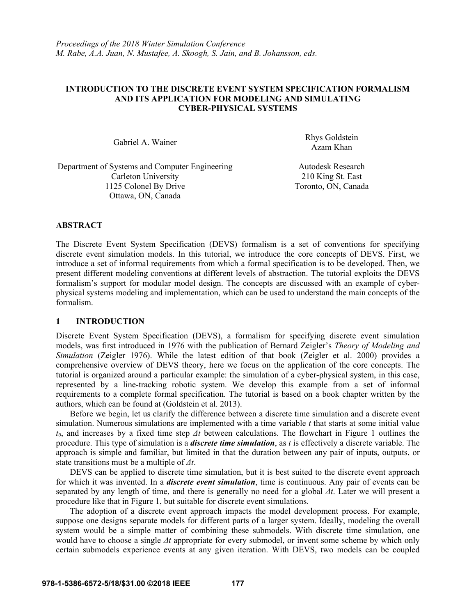## **INTRODUCTION TO THE DISCRETE EVENT SYSTEM SPECIFICATION FORMALISM AND ITS APPLICATION FOR MODELING AND SIMULATING CYBER-PHYSICAL SYSTEMS**

Gabriel A. Wainer Rhys Goldstein Azam Khan

Department of Systems and Computer Engineering Autodesk Research Carleton University 210 King St. East 1125 Colonel By Drive Toronto, ON, Canada Ottawa, ON, Canada

# **ABSTRACT**

The Discrete Event System Specification (DEVS) formalism is a set of conventions for specifying discrete event simulation models. In this tutorial, we introduce the core concepts of DEVS. First, we introduce a set of informal requirements from which a formal specification is to be developed. Then, we present different modeling conventions at different levels of abstraction. The tutorial exploits the DEVS formalism's support for modular model design. The concepts are discussed with an example of cyberphysical systems modeling and implementation, which can be used to understand the main concepts of the formalism.

# **1 INTRODUCTION**

Discrete Event System Specification (DEVS), a formalism for specifying discrete event simulation models, was first introduced in 1976 with the publication of Bernard Zeigler's *Theory of Modeling and Simulation* (Zeigler 1976). While the latest edition of that book (Zeigler et al. 2000) provides a comprehensive overview of DEVS theory, here we focus on the application of the core concepts. The tutorial is organized around a particular example: the simulation of a cyber-physical system, in this case, represented by a line-tracking robotic system. We develop this example from a set of informal requirements to a complete formal specification. The tutorial is based on a book chapter written by the authors, which can be found at (Goldstein et al. 2013).

Before we begin, let us clarify the difference between a discrete time simulation and a discrete event simulation. Numerous simulations are implemented with a time variable *t* that starts at some initial value *t0*, and increases by a fixed time step *Δt* between calculations. The flowchart in Figure 1 outlines the procedure. This type of simulation is a *discrete time simulation*, as *t* is effectively a discrete variable. The approach is simple and familiar, but limited in that the duration between any pair of inputs, outputs, or state transitions must be a multiple of *Δt*.

DEVS can be applied to discrete time simulation, but it is best suited to the discrete event approach for which it was invented. In a *discrete event simulation*, time is continuous. Any pair of events can be separated by any length of time, and there is generally no need for a global *Δt*. Later we will present a procedure like that in Figure 1, but suitable for discrete event simulations.

The adoption of a discrete event approach impacts the model development process. For example, suppose one designs separate models for different parts of a larger system. Ideally, modeling the overall system would be a simple matter of combining these submodels. With discrete time simulation, one would have to choose a single *Δt* appropriate for every submodel, or invent some scheme by which only certain submodels experience events at any given iteration. With DEVS, two models can be coupled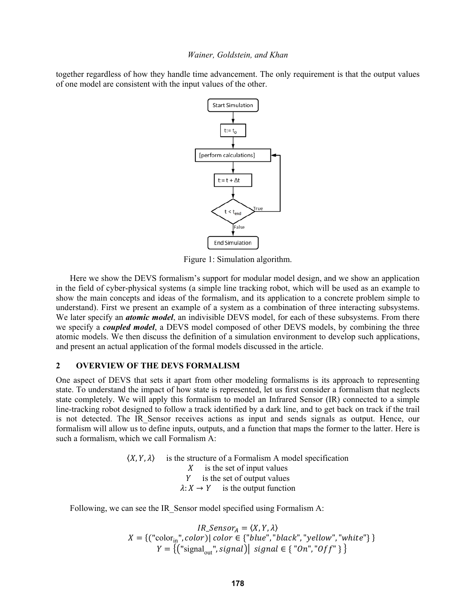together regardless of how they handle time advancement. The only requirement is that the output values of one model are consistent with the input values of the other.



Figure 1: Simulation algorithm.

Here we show the DEVS formalism's support for modular model design, and we show an application in the field of cyber-physical systems (a simple line tracking robot, which will be used as an example to show the main concepts and ideas of the formalism, and its application to a concrete problem simple to understand). First we present an example of a system as a combination of three interacting subsystems. We later specify an *atomic model*, an indivisible DEVS model, for each of these subsystems. From there we specify a *coupled model*, a DEVS model composed of other DEVS models, by combining the three atomic models. We then discuss the definition of a simulation environment to develop such applications, and present an actual application of the formal models discussed in the article.

### $\mathbf{2}$ **OVERVIEW OF THE DEVS FORMALISM**

One aspect of DEVS that sets it apart from other modeling formalisms is its approach to representing state. To understand the impact of how state is represented, let us first consider a formalism that neglects state completely. We will apply this formalism to model an Infrared Sensor (IR) connected to a simple line-tracking robot designed to follow a track identified by a dark line, and to get back on track if the trail is not detected. The IR Sensor receives actions as input and sends signals as output. Hence, our formalism will allow us to define inputs, outputs, and a function that maps the former to the latter. Here is such a formalism, which we call Formalism A:

> $(X, Y, \lambda)$  is the structure of a Formalism A model specification  $X$  is the set of input values Y is the set of output values  $\lambda: X \to Y$  is the output function

Following, we can see the IR Sensor model specified using Formalism A:

 $IR\_Sensor_A = \langle X, Y, \lambda \rangle$ <br>  $X = \{("color_{in",}", color)| color \in \{"blue", "black", "yellow", "white"\} \}$ <br>  $Y = \{("signal_{out",} ; signal)\} \quad signal \in \{ "On", "Off"\} \}$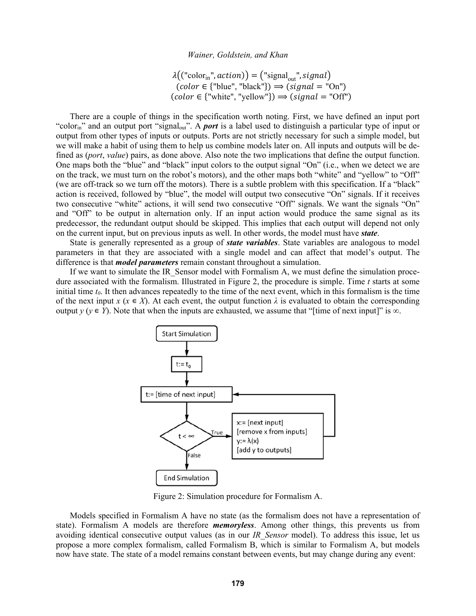$\lambda(("color_{in",}",action)) = ("signal_{out",signal})$  $(color \in \{\text{"blue", "black"}\} \implies (signal = "On")$  $(color \in \{"white", "yellow"\}) \Longrightarrow (signal = "Off")$ 

There are a couple of things in the specification worth noting. First, we have defined an input port "color<sub>in</sub>" and an output port "signal<sub>out</sub>". A *port* is a label used to distinguish a particular type of input or output from other types of inputs or outputs. Ports are not strictly necessary for such a simple model, but we will make a habit of using them to help us combine models later on. All inputs and outputs will be defined as *(port, value)* pairs, as done above. Also note the two implications that define the output function. One maps both the "blue" and "black" input colors to the output signal "On" (i.e., when we detect we are on the track, we must turn on the robot's motors), and the other maps both "white" and "yellow" to "Off" (we are off-track so we turn off the motors). There is a subtle problem with this specification. If a "black" action is received, followed by "blue", the model will output two consecutive "On" signals. If it receives two consecutive "white" actions, it will send two consecutive "Off" signals. We want the signals "On" and "Off" to be output in alternation only. If an input action would produce the same signal as its predecessor, the redundant output should be skipped. This implies that each output will depend not only on the current input, but on previous inputs as well. In other words, the model must have *state*.

State is generally represented as a group of *state variables*. State variables are analogous to model parameters in that they are associated with a single model and can affect that model's output. The difference is that *model parameters* remain constant throughout a simulation.

If we want to simulate the IR Sensor model with Formalism A, we must define the simulation procedure associated with the formalism. Illustrated in Figure 2, the procedure is simple. Time  $t$  starts at some initial time  $t_0$ . It then advances repeatedly to the time of the next event, which in this formalism is the time of the next input x ( $x \in X$ ). At each event, the output function  $\lambda$  is evaluated to obtain the corresponding output  $y$  ( $y \in Y$ ). Note that when the inputs are exhausted, we assume that "[time of next input]" is  $\infty$ .



Figure 2: Simulation procedure for Formalism A.

Models specified in Formalism A have no state (as the formalism does not have a representation of state). Formalism A models are therefore *memoryless*. Among other things, this prevents us from avoiding identical consecutive output values (as in our IR Sensor model). To address this issue, let us propose a more complex formalism, called Formalism B, which is similar to Formalism A, but models now have state. The state of a model remains constant between events, but may change during any event: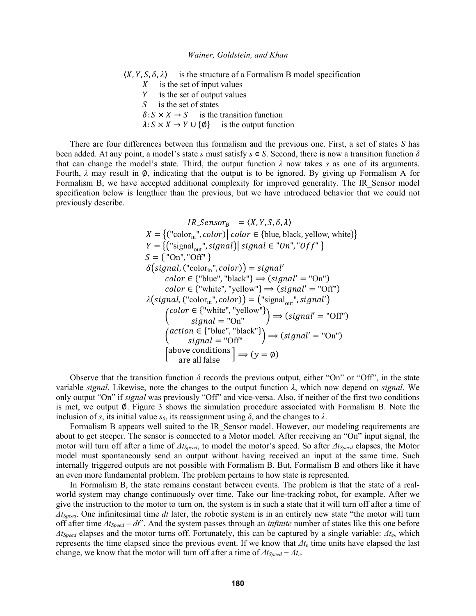$(X, Y, S, \delta, \lambda)$  is the structure of a Formalism B model specification  $\boldsymbol{X}$ is the set of input values Y is the set of output values  $\overline{S}$ is the set of states  $\delta: S \times X \to S$  is the transition function  $\lambda: S \times X \to Y \cup \{\emptyset\}$  is the output function

There are four differences between this formalism and the previous one. First, a set of states S has been added. At any point, a model's state s must satisfy  $s \in S$ . Second, there is now a transition function  $\delta$ that can change the model's state. Third, the output function  $\lambda$  now takes s as one of its arguments. Fourth,  $\lambda$  may result in  $\phi$ , indicating that the output is to be ignored. By giving up Formalism A for Formalism B, we have accepted additional complexity for improved generality. The IR Sensor model specification below is lengthier than the previous, but we have introduced behavior that we could not previously describe.

$$
IR\_Sensor_B = \langle X, Y, S, \delta, \lambda \rangle
$$
\n
$$
X = \{ ("color_{in",} color)} | color \in \{blue, black, yellow, white\} \}
$$
\n
$$
Y = \{ ("signal_{out", signal}) | signal \in "On", "Off" \}
$$
\n
$$
S = \{ "On", "Off" \}
$$
\n
$$
\delta(signal, ("color_{in",} color)) = signal'
$$
\n
$$
color \in \{ "blue", "black"\} \Rightarrow (signal' = "On")
$$
\n
$$
color \in \{ "white", "yellow"} \} \Rightarrow (signal' = "Off")
$$
\n
$$
\lambda(signal, ("color_{in",} color)) = ("signal_{out", signal'})
$$
\n
$$
(color \in \{ "white", "yellow"} \} \Rightarrow (signal' = "Off")
$$
\n
$$
(color \in \{ "white", "yellow"} \} \Rightarrow (signal' = "Off")
$$
\n
$$
(action \in \{ "blue", "black"} \} \Rightarrow (signal' = "On")
$$
\n
$$
(above conditions ) \Rightarrow (y = \emptyset)
$$

Observe that the transition function  $\delta$  records the previous output, either "On" or "Off", in the state variable *signal*. Likewise, note the changes to the output function  $\lambda$ , which now depend on *signal*. We only output "On" if signal was previously "Off" and vice-versa. Also, if neither of the first two conditions is met, we output  $\emptyset$ . Figure 3 shows the simulation procedure associated with Formalism B. Note the inclusion of s, its initial value  $s_0$ , its reassignment using  $\delta$ , and the changes to  $\lambda$ .

Formalism B appears well suited to the IR Sensor model. However, our modeling requirements are about to get steeper. The sensor is connected to a Motor model. After receiving an "On" input signal, the motor will turn off after a time of  $\Delta t_{Speed}$ , to model the motor's speed. So after  $\Delta t_{Speed}$  elapses, the Motor model must spontaneously send an output without having received an input at the same time. Such internally triggered outputs are not possible with Formalism B. But, Formalism B and others like it have an even more fundamental problem. The problem pertains to how state is represented.

In Formalism B, the state remains constant between events. The problem is that the state of a realworld system may change continuously over time. Take our line-tracking robot, for example. After we give the instruction to the motor to turn on, the system is in such a state that it will turn off after a time of  $\Delta t_{Speed}$ . One infinitesimal time dt later, the robotic system is in an entirely new state "the motor will turn off after time  $\Delta t_{Speed} - dt$ . And the system passes through an *infinite* number of states like this one before  $\Delta t_{Speed}$  elapses and the motor turns off. Fortunately, this can be captured by a single variable:  $\Delta t_e$ , which represents the time elapsed since the previous event. If we know that  $\Delta t_e$  time units have elapsed the last change, we know that the motor will turn off after a time of  $\Delta t_{Speed} - \Delta t_e$ .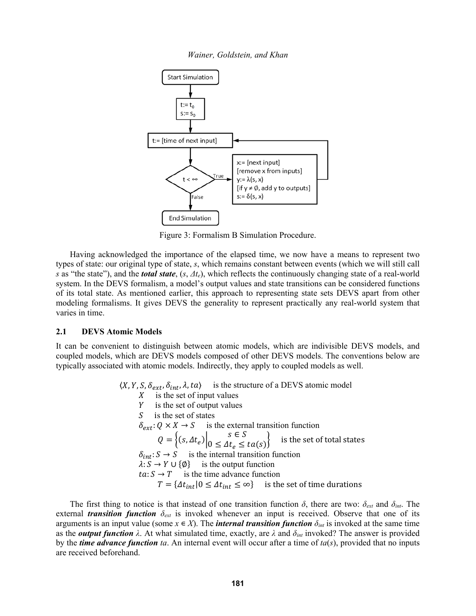Wainer, Goldstein, and Khan



Figure 3: Formalism B Simulation Procedure.

Having acknowledged the importance of the elapsed time, we now have a means to represent two types of state: our original type of state, s, which remains constant between events (which we will still call s as "the state"), and the **total state**,  $(s, \Delta t_e)$ , which reflects the continuously changing state of a real-world system. In the DEVS formalism, a model's output values and state transitions can be considered functions of its total state. As mentioned earlier, this approach to representing state sets DEVS apart from other modeling formalisms. It gives DEVS the generality to represent practically any real-world system that varies in time.

### 2.1 **DEVS Atomic Models**

It can be convenient to distinguish between atomic models, which are indivisible DEVS models, and coupled models, which are DEVS models composed of other DEVS models. The conventions below are typically associated with atomic models. Indirectly, they apply to coupled models as well.

> $\langle X, Y, S, \delta_{ext}, \delta_{int}, \lambda, ta \rangle$  is the structure of a DEVS atomic model  $X$  is the set of input values Y is the set of output values  $S$ is the set of states  $\delta_{ext}$ :  $Q \times X \rightarrow S$  is the external transition function  $s \in S$  $Q = \left\{ (s, \Delta t_e) \Big| 0 \leq \Delta t_e \leq ta(s) \right\}$ is the set of total states  $\delta_{int}: S \to S$  is the internal transition function  $\lambda: S \to Y \cup \{\emptyset\}$  is the output function  $ta: S \rightarrow T$  is the time advance function  $T = \{\Delta t_{int} | 0 \leq \Delta t_{int} \leq \infty\}$  is the set of time durations

The first thing to notice is that instead of one transition function  $\delta$ , there are two:  $\delta_{ext}$  and  $\delta_{int}$ . The external *transition function*  $\delta_{ext}$  is invoked whenever an input is received. Observe that one of its arguments is an input value (some  $x \in X$ ). The *internal transition function*  $\delta_{int}$  is invoked at the same time as the *output function*  $\lambda$ . At what simulated time, exactly, are  $\lambda$  and  $\delta_{int}$  invoked? The answer is provided by the *time advance function* ta. An internal event will occur after a time of  $ta(s)$ , provided that no inputs are received beforehand.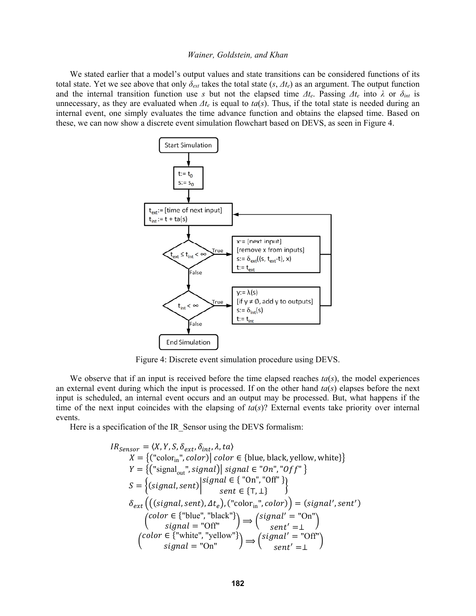We stated earlier that a model's output values and state transitions can be considered functions of its total state. Yet we see above that only  $\delta_{ext}$  takes the total state  $(s, \Delta t_e)$  as an argument. The output function and the internal transition function use s but not the elapsed time  $\Delta t_e$ . Passing  $\Delta t_e$  into  $\lambda$  or  $\delta_{int}$  is unnecessary, as they are evaluated when  $\Delta t_e$  is equal to  $ta(s)$ . Thus, if the total state is needed during an internal event, one simply evaluates the time advance function and obtains the elapsed time. Based on these, we can now show a discrete event simulation flowchart based on DEVS, as seen in Figure 4.



Figure 4: Discrete event simulation procedure using DEVS.

We observe that if an input is received before the time elapsed reaches  $ta(s)$ , the model experiences an external event during which the input is processed. If on the other hand  $ta(s)$  elapses before the next input is scheduled, an internal event occurs and an output may be processed. But, what happens if the time of the next input coincides with the elapsing of  $ta(s)$ ? External events take priority over internal events.

Here is a specification of the IR Sensor using the DEVS formalism:

$$
IR_{sensor} = \langle X, Y, S, \delta_{ext}, \delta_{int}, \lambda, ta \rangle
$$
  
\n
$$
X = \{("color_{in",} color)} | color \in \{blue, black, yellow, white\} \}
$$
  
\n
$$
Y = \{("signal_{out", signal}) | signal \in "On", "Off" \}
$$
  
\n
$$
S = \{ (signal, sent) | signal \in \{ "On", "Off" \}
$$
  
\n
$$
\delta_{ext} \{ ((signal, sent), \Delta t_e), ("color_{in", color}) \} = (signal', sent')
$$
  
\n
$$
("color \in \{ "blue", "black" \}) \Rightarrow (signal' = "On")
$$
  
\n
$$
("color \in \{ "white", "yellow" \}) \Rightarrow (signal' = "Off")
$$
  
\n
$$
("color \in \{ "white", "yellow" \}) \Rightarrow (signal' = "Off")
$$
  
\n
$$
signal = "On" ) \Rightarrow (signal' = "Off")
$$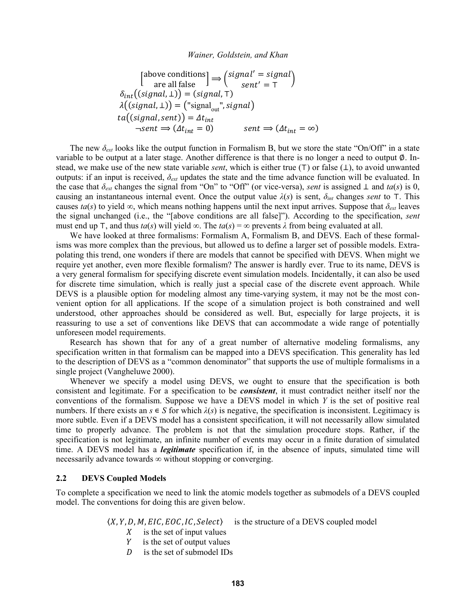$$
\begin{aligned}\n\begin{bmatrix}\n\text{above conditions} \\
\text{are all false}\n\end{bmatrix} &\Rightarrow\n\begin{pmatrix}\n\text{signal'} = \text{signal} \\
\text{sent'} = \top\n\end{pmatrix} \\
\delta_{int}((\text{signal}, \bot)) = (\text{signal}, \top) \\
\lambda((\text{signal}, \bot)) = (\text{"signal}_{\text{out}}^*, \text{signal}) \\
\text{ta}((\text{signal}, \text{sent})) = \Delta t_{int} \\
\text{start} &\Rightarrow (\Delta t_{int} = 0) \\
\text{sent} &\Rightarrow (\Delta t_{int} = \infty)\n\end{aligned}
$$

The new  $\delta_{ext}$  looks like the output function in Formalism B, but we store the state "On/Off" in a state variable to be output at a later stage. Another difference is that there is no longer a need to output  $\emptyset$ . Instead, we make use of the new state variable *sent*, which is either true ( $T$ ) or false ( $\perp$ ), to avoid unwanted outputs: if an input is received,  $\delta_{ext}$  updates the state and the time advance function will be evaluated. In the case that  $\delta_{ext}$  changes the signal from "On" to "Off" (or vice-versa), sent is assigned  $\perp$  and ta(s) is 0, causing an instantaneous internal event. Once the output value  $\lambda(s)$  is sent,  $\delta_{int}$  changes sent to T. This causes  $ta(s)$  to yield  $\infty$ , which means nothing happens until the next input arrives. Suppose that  $\delta_{ext}$  leaves the signal unchanged (i.e., the "[above conditions are all false]"). According to the specification, *sent* must end up T, and thus  $ta(s)$  will yield  $\infty$ . The  $ta(s) = \infty$  prevents  $\lambda$  from being evaluated at all.

We have looked at three formalisms: Formalism A, Formalism B, and DEVS. Each of these formalisms was more complex than the previous, but allowed us to define a larger set of possible models. Extrapolating this trend, one wonders if there are models that cannot be specified with DEVS. When might we require yet another, even more flexible formalism? The answer is hardly ever. True to its name, DEVS is a very general formalism for specifying discrete event simulation models. Incidentally, it can also be used for discrete time simulation, which is really just a special case of the discrete event approach. While DEVS is a plausible option for modeling almost any time-varying system, it may not be the most convenient option for all applications. If the scope of a simulation project is both constrained and well understood, other approaches should be considered as well. But, especially for large projects, it is reassuring to use a set of conventions like DEVS that can accommodate a wide range of potentially unforeseen model requirements.

Research has shown that for any of a great number of alternative modeling formalisms, any specification written in that formalism can be mapped into a DEVS specification. This generality has led to the description of DEVS as a "common denominator" that supports the use of multiple formalisms in a single project (Vangheluwe 2000).

Whenever we specify a model using DEVS, we ought to ensure that the specification is both consistent and legitimate. For a specification to be *consistent*, it must contradict neither itself nor the conventions of the formalism. Suppose we have a DEVS model in which  $Y$  is the set of positive real numbers. If there exists an  $s \in S$  for which  $\lambda(s)$  is negative, the specification is inconsistent. Legitimacy is more subtle. Even if a DEVS model has a consistent specification, it will not necessarily allow simulated time to properly advance. The problem is not that the simulation procedure stops. Rather, if the specification is not legitimate, an infinite number of events may occur in a finite duration of simulated time. A DEVS model has a *legitimate* specification if, in the absence of inputs, simulated time will necessarily advance towards  $\infty$  without stopping or converging.

#### $2.2$ **DEVS Coupled Models**

To complete a specification we need to link the atomic models together as submodels of a DEVS coupled model. The conventions for doing this are given below.

> $\langle X, Y, D, M, EIC, EOC, IC, Select \rangle$ is the structure of a DEVS coupled model

- is the set of input values X
- Y is the set of output values
- is the set of submodel IDs D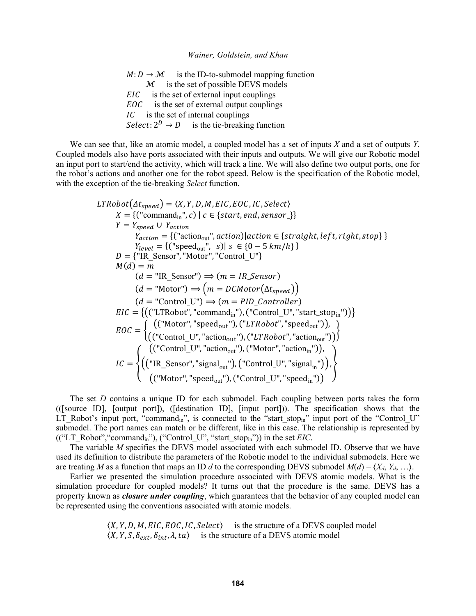$M: D \to M$ is the ID-to-submodel mapping function  $M$  is the set of possible DEVS models is the set of external input couplings  $EIC$ is the set of external output couplings EOC  $IC$  is the set of internal couplings *Select*:  $2^D \rightarrow D$  is the tie-breaking function

We can see that, like an atomic model, a coupled model has a set of inputs  $X$  and a set of outputs  $Y$ . Coupled models also have ports associated with their inputs and outputs. We will give our Robotic model an input port to start/end the activity, which will track a line. We will also define two output ports, one for the robot's actions and another one for the robot speed. Below is the specification of the Robotic model, with the exception of the tie-breaking Select function.

$$
LTRobot(\Delta t_{speed}) = \langle X, Y, D, M, EIC, EOC, IC, Select \rangle
$$
\n
$$
X = \{("command_{in}}, c) | c \in \{start, end, sensor_{s}\}
$$
\n
$$
Y = Y_{speed} \cup Y_{action}
$$
\n
$$
Y_{action} = \{("action_{out}}, action)[action \in \{straight, left, right, stop\} \}
$$
\n
$$
Y_{level} = \{("speed_{out}}, s) | s \in \{0 - 5 km/h\} \}
$$
\n
$$
D = \{ "IR_{sensor", "Motor", "Control_U"} \}
$$
\n
$$
M(d) = m
$$
\n
$$
(d = "IR_{sensor"}) \Rightarrow (m = IR_{sensor})
$$
\n
$$
(d = "Motor") \Rightarrow (m = DCMotor(\Delta t_{speed}))
$$
\n
$$
EIC = \{ (("LTRobot", "command_{in}"), ("Control_U", "start_stop_{in"))}) \}
$$
\n
$$
EIC = \{ (("Motor", "speed_{out}"), ("LTRobot", "speed_{out}")) ) \}
$$
\n
$$
EOC = \{ ((\text{"Control_U", "action_{out}"), (\text{"LTRobot", "action_{out}")) ) \}
$$
\n
$$
IC = \{ ((\text{"Control_U", "action_{out}"), (\text{"LTRobot", "action_{out}")) ) \}
$$
\n
$$
IC = \{ ((\text{"Control_U", "action_{out}"), (\text{"Control_U", "againal}_{in}) )) \}
$$
\n
$$
IC = \{ ((\text{"Notor", "speed}_{out}), (\text{"Control_U", "signal}_{in}) ) \}
$$

The set  $D$  contains a unique ID for each submodel. Each coupling between ports takes the form ((Source ID), [output port]), ([destination ID], [input port])). The specification shows that the LT Robot's input port, "command<sub>in</sub>", is connected to the "start\_stop<sub>in</sub>" input port of the "Control\_U" submodel. The port names can match or be different, like in this case. The relationship is represented by (("LT Robot", "command<sub>in</sub>"), ("Control U", "start stop<sub>in</sub>")) in the set *EIC*.

The variable M specifies the DEVS model associated with each submodel ID. Observe that we have used its definition to distribute the parameters of the Robotic model to the individual submodels. Here we are treating M as a function that maps an ID d to the corresponding DEVS submodel  $M(d) = \langle X_d, Y_d, \ldots \rangle$ .

Earlier we presented the simulation procedure associated with DEVS atomic models. What is the simulation procedure for coupled models? It turns out that the procedure is the same. DEVS has a property known as *closure under coupling*, which guarantees that the behavior of any coupled model can be represented using the conventions associated with atomic models.

> $(X, Y, D, M, EIC, EOC, IC, Select)$  is the structure of a DEVS coupled model  $\langle X, Y, S, \delta_{ext}, \delta_{int}, \lambda, ta \rangle$  is the structure of a DEVS atomic model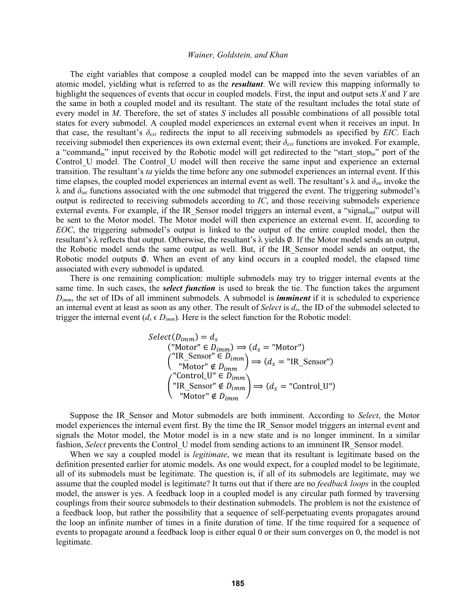The eight variables that compose a coupled model can be mapped into the seven variables of an atomic model, yielding what is referred to as the *resultant*. We will review this mapping informally to highlight the sequences of events that occur in coupled models. First, the input and output sets *X* and *Y* are the same in both a coupled model and its resultant. The state of the resultant includes the total state of every model in *M*. Therefore, the set of states *S* includes all possible combinations of all possible total states for every submodel. A coupled model experiences an external event when it receives an input. In that case, the resultant's *δext* redirects the input to all receiving submodels as specified by *EIC*. Each receiving submodel then experiences its own external event; their *δext* functions are invoked. For example, a "command<sub>in</sub>" input received by the Robotic model will get redirected to the "start stop<sub>in</sub>" port of the Control U model. The Control U model will then receive the same input and experience an external transition. The resultant's *ta* yields the time before any one submodel experiences an internal event. If this time elapses, the coupled model experiences an internal event as well. The resultant's λ and *δint* invoke the λ and *δint* functions associated with the one submodel that triggered the event. The triggering submodel's output is redirected to receiving submodels according to *IC*, and those receiving submodels experience external events. For example, if the IR Sensor model triggers an internal event, a "signal<sub>out</sub>" output will be sent to the Motor model. The Motor model will then experience an external event. If, according to *EOC*, the triggering submodel's output is linked to the output of the entire coupled model, then the resultant's λ reflects that output. Otherwise, the resultant's λ yields ∅. If the Motor model sends an output, the Robotic model sends the same output as well. But, if the IR\_Sensor model sends an output, the Robotic model outputs Ø. When an event of any kind occurs in a coupled model, the elapsed time associated with every submodel is updated.

There is one remaining complication: multiple submodels may try to trigger internal events at the same time. In such cases, the *select function* is used to break the tie. The function takes the argument *Dimm*, the set of IDs of all imminent submodels. A submodel is *imminent* if it is scheduled to experience an internal event at least as soon as any other. The result of *Select* is *ds*, the ID of the submodel selected to trigger the internal event ( $d_s \in D_{imm}$ ). Here is the select function for the Robotic model:

$$
Select(D_{imm}) = d_s
$$
  
\n("Motor"  $\in D_{imm}$ )  $\Rightarrow$   $(d_s = "Motor")$   
\n("IR\_Sensor"  $\in D_{imm}$ )  $\Rightarrow$   $(d_s = "IR_Sensor")$   
\n("Motor"  $\notin D_{imm}$ )  $\Rightarrow$   $(d_s = "Control_U")$   
\n("IR\_Sensor"  $\notin D_{imm}$ )  $\Rightarrow$   $(d_s = "Control_U")$   
\n("Motor"  $\notin D_{imm}$ )

Suppose the IR\_Sensor and Motor submodels are both imminent. According to *Select*, the Motor model experiences the internal event first. By the time the IR\_Sensor model triggers an internal event and signals the Motor model, the Motor model is in a new state and is no longer imminent. In a similar fashion, *Select* prevents the Control U model from sending actions to an imminent IR Sensor model.

When we say a coupled model is *legitimate*, we mean that its resultant is legitimate based on the definition presented earlier for atomic models. As one would expect, for a coupled model to be legitimate, all of its submodels must be legitimate. The question is, if all of its submodels are legitimate, may we assume that the coupled model is legitimate? It turns out that if there are no *feedback loops* in the coupled model, the answer is yes. A feedback loop in a coupled model is any circular path formed by traversing couplings from their source submodels to their destination submodels. The problem is not the existence of a feedback loop, but rather the possibility that a sequence of self-perpetuating events propagates around the loop an infinite number of times in a finite duration of time. If the time required for a sequence of events to propagate around a feedback loop is either equal 0 or their sum converges on 0, the model is not legitimate.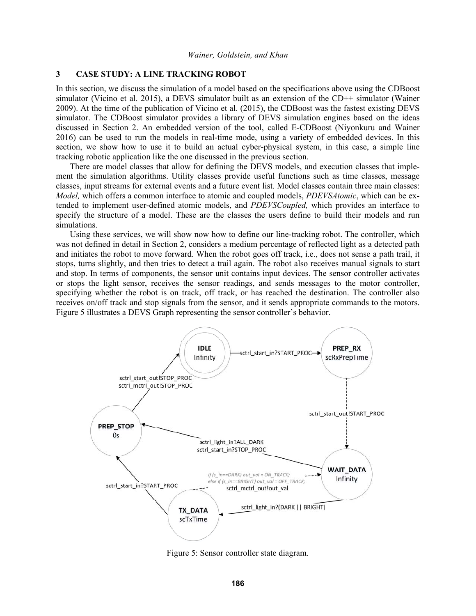## **3 CASE STUDY: A LINE TRACKING ROBOT**

In this section, we discuss the simulation of a model based on the specifications above using the CDBoost simulator (Vicino et al. 2015), a DEVS simulator built as an extension of the CD++ simulator (Wainer 2009). At the time of the publication of Vicino et al. (2015), the CDBoost was the fastest existing DEVS simulator. The CDBoost simulator provides a library of DEVS simulation engines based on the ideas discussed in Section 2. An embedded version of the tool, called E-CDBoost (Niyonkuru and Wainer 2016) can be used to run the models in real-time mode, using a variety of embedded devices. In this section, we show how to use it to build an actual cyber-physical system, in this case, a simple line tracking robotic application like the one discussed in the previous section.

There are model classes that allow for defining the DEVS models, and execution classes that implement the simulation algorithms. Utility classes provide useful functions such as time classes, message classes, input streams for external events and a future event list. Model classes contain three main classes: *Model,* which offers a common interface to atomic and coupled models, *PDEVSAtomic*, which can be extended to implement user-defined atomic models, and *PDEVSCoupled,* which provides an interface to specify the structure of a model. These are the classes the users define to build their models and run simulations.

Using these services, we will show now how to define our line-tracking robot. The controller, which was not defined in detail in Section 2, considers a medium percentage of reflected light as a detected path and initiates the robot to move forward. When the robot goes off track, i.e., does not sense a path trail, it stops, turns slightly, and then tries to detect a trail again. The robot also receives manual signals to start and stop. In terms of components, the sensor unit contains input devices. The sensor controller activates or stops the light sensor, receives the sensor readings, and sends messages to the motor controller, specifying whether the robot is on track, off track, or has reached the destination. The controller also receives on/off track and stop signals from the sensor, and it sends appropriate commands to the motors. Figure 5 illustrates a DEVS Graph representing the sensor controller's behavior.



Figure 5: Sensor controller state diagram.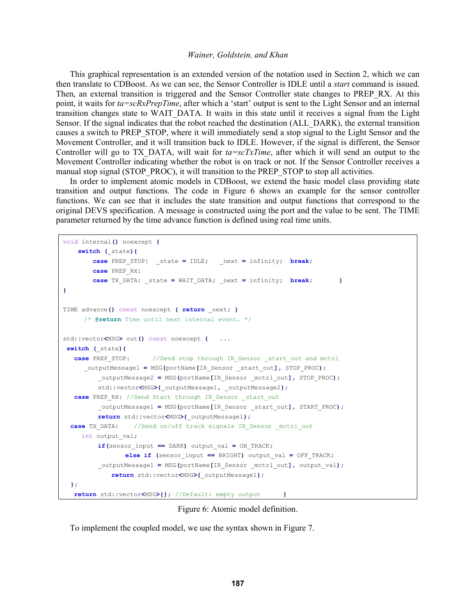This graphical representation is an extended version of the notation used in Section 2, which we can then translate to CDBoost. As we can see, the Sensor Controller is IDLE until a *start* command is issued. Then, an external transition is triggered and the Sensor Controller state changes to PREP\_RX. At this point, it waits for *ta=scRxPrepTime*, after which a 'start' output is sent to the Light Sensor and an internal transition changes state to WAIT\_DATA. It waits in this state until it receives a signal from the Light Sensor. If the signal indicates that the robot reached the destination (ALL\_DARK), the external transition causes a switch to PREP\_STOP, where it will immediately send a stop signal to the Light Sensor and the Movement Controller, and it will transition back to IDLE. However, if the signal is different, the Sensor Controller will go to TX\_DATA, will wait for *ta=scTxTime*, after which it will send an output to the Movement Controller indicating whether the robot is on track or not. If the Sensor Controller receives a manual stop signal (STOP\_PROC), it will transition to the PREP\_STOP to stop all activities.

In order to implement atomic models in CDBoost, we extend the basic model class providing state transition and output functions. The code in Figure 6 shows an example for the sensor controller functions. We can see that it includes the state transition and output functions that correspond to the original DEVS specification. A message is constructed using the port and the value to be sent. The TIME parameter returned by the time advance function is defined using real time units.

```
void internal() noexcept {
     switch (_state){ 
         case PREP_STOP: _state = IDLE; _next = infinity; break;
         case PREP_RX:
         case TX_DATA: _state = WAIT_DATA; _next = infinity; break; }
} 
TIME advance() const noexcept { return _next; } 
      /* @return Time until next internal event. */ 
std::vector<MSG> out() const noexcept { ... 
switch (_state){
   case PREP_STOP: //Send stop through IR_Sensor _start_out and mctrl
      _outputMessage1 = MSG(portName[IR_Sensor _start_out], STOP_PROC);
          _outputMessage2 = MSG(portName[IR_Sensor _mctrl_out], STOP_PROC);
          std::vector<MSG>{_outputMessage1, _outputMessage2};
   case PREP_RX: //Send Start through IR_Sensor _start_out
          _outputMessage1 = MSG(portName[IR_Sensor _start_out], START_PROC);
          return std::vector<MSG>{_outputMessage1};
   case TX_DATA: //Send on/off track signals IR_Sensor _mctrl_out 
      int output_val;
          if(sensor_input == DARK) output_val = ON_TRACK;
                 else if (sensor_input == BRIGHT) output_val = OFF_TRACK;
          _outputMessage1 = MSG(portName[IR_Sensor _mctrl_out], output_val); 
              return std::vector<MSG>{_outputMessage1}; 
   };
    return std::vector<MSG>{}; //Default: empty output }
```
Figure 6: Atomic model definition.

To implement the coupled model, we use the syntax shown in Figure 7.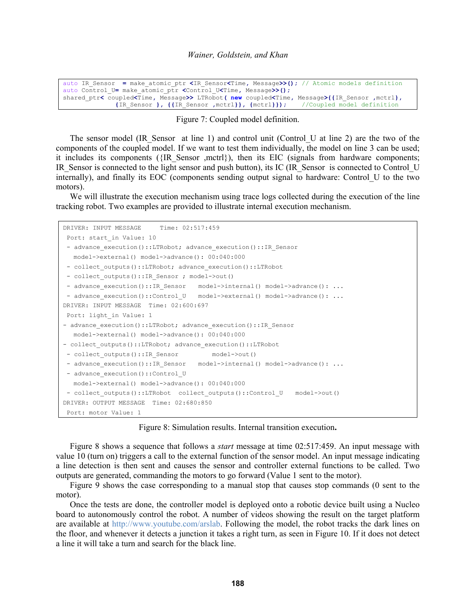auto IR\_Sensor **=** make\_atomic\_ptr **<**IR\_Sensor**<**Time**,** Message**>>();** // Atomic models definition auto Control\_U**=** make\_atomic\_ptr **<**Control\_U**<**Time**,** Message**>>();** shared\_ptr**<** coupled**<**Time**,** Message**>>** LTRobot**( new** coupled**<**Time**,** Message**>{{**IR\_Sensor **,**mctrl**}, {**IR\_Sensor **}, {{**IR\_Sensor **,**mctrl**}}, {**mctrl**}});** //Coupled model definition

Figure 7: Coupled model definition.

The sensor model (IR Sensor at line 1) and control unit (Control U at line 2) are the two of the components of the coupled model. If we want to test them individually, the model on line 3 can be used; it includes its components ( $\{IR\$  Sensor ,mctrl $\}$ ), then its EIC (signals from hardware components; IR\_Sensor is connected to the light sensor and push button), its IC (IR\_Sensor is connected to Control\_U internally), and finally its EOC (components sending output signal to hardware: Control\_U to the two motors).

We will illustrate the execution mechanism using trace logs collected during the execution of the line tracking robot. Two examples are provided to illustrate internal execution mechanism.

```
DRIVER: INPUT MESSAGE Time: 02:517:459
Port: start in Value: 10
- advance execution()::LTRobot; advance execution()::IR Sensor
  model->external() model->advance(): 00:040:000 
- collect outputs()::LTRobot; advance execution()::LTRobot
- collect outputs()::IR Sensor ; model->out()
- advance execution()::IR Sensor model->internal() model->advance(): ...
- advance execution()::Control U model->external() model->advance(): ...
DRIVER: INPUT MESSAGE Time: 02:600:697 
 Port: light_in Value: 1 
- advance execution()::LTRobot; advance execution()::IR Sensor
  model->external() model->advance(): 00:040:000 
- collect outputs()::LTRobot; advance_execution()::LTRobot
- collect outputs()::IR Sensor model->out()
- advance execution()::IR Sensor model->internal() model->advance(): ...
- advance execution()::Control U
  model->external() model->advance(): 00:040:000 
- collect outputs()::LTRobot collect_outputs()::Control_U model->out()
DRIVER: OUTPUT MESSAGE Time: 02:680:850 
 Port: motor Value: 1
```
Figure 8: Simulation results. Internal transition execution**.** 

Figure 8 shows a sequence that follows a *start* message at time 02:517:459. An input message with value 10 (turn on) triggers a call to the external function of the sensor model. An input message indicating a line detection is then sent and causes the sensor and controller external functions to be called. Two outputs are generated, commanding the motors to go forward (Value 1 sent to the motor).

Figure 9 shows the case corresponding to a manual stop that causes stop commands (0 sent to the motor).

Once the tests are done, the controller model is deployed onto a robotic device built using a Nucleo board to autonomously control the robot. A number of videos showing the result on the target platform are available at http://www.youtube.com/arslab. Following the model, the robot tracks the dark lines on the floor, and whenever it detects a junction it takes a right turn, as seen in Figure 10. If it does not detect a line it will take a turn and search for the black line.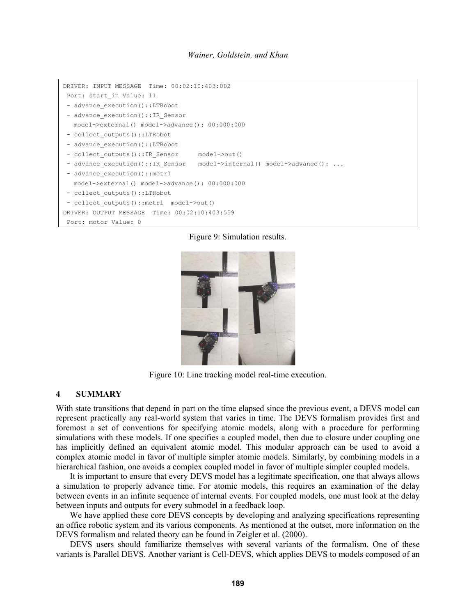```
DRIVER: INPUT MESSAGE Time: 00:02:10:403:002 
 Port: start_in Value: 11 
- advance execution()::LTRobot
- advance execution()::IR Sensor
   model->external() model->advance(): 00:000:000 
- collect outputs()::LTRobot
- advance_execution()::LTRobot
- collect outputs()::IR Sensor model->out()
- advance execution()::IR Sensor model->internal() model->advance(): ...
- advance execution()::mctrl
   model->external() model->advance(): 00:000:000 
- collect outputs()::LTRobot
- collect outputs()::mctrl model->out()
DRIVER: OUTPUT MESSAGE Time: 00:02:10:403:559 
 Port: motor Value: 0
```
Figure 9: Simulation results.



Figure 10: Line tracking model real-time execution.

### **4 SUMMARY**

With state transitions that depend in part on the time elapsed since the previous event, a DEVS model can represent practically any real-world system that varies in time. The DEVS formalism provides first and foremost a set of conventions for specifying atomic models, along with a procedure for performing simulations with these models. If one specifies a coupled model, then due to closure under coupling one has implicitly defined an equivalent atomic model. This modular approach can be used to avoid a complex atomic model in favor of multiple simpler atomic models. Similarly, by combining models in a hierarchical fashion, one avoids a complex coupled model in favor of multiple simpler coupled models.

It is important to ensure that every DEVS model has a legitimate specification, one that always allows a simulation to properly advance time. For atomic models, this requires an examination of the delay between events in an infinite sequence of internal events. For coupled models, one must look at the delay between inputs and outputs for every submodel in a feedback loop.

We have applied these core DEVS concepts by developing and analyzing specifications representing an office robotic system and its various components. As mentioned at the outset, more information on the DEVS formalism and related theory can be found in Zeigler et al. (2000).

DEVS users should familiarize themselves with several variants of the formalism. One of these variants is Parallel DEVS. Another variant is Cell-DEVS, which applies DEVS to models composed of an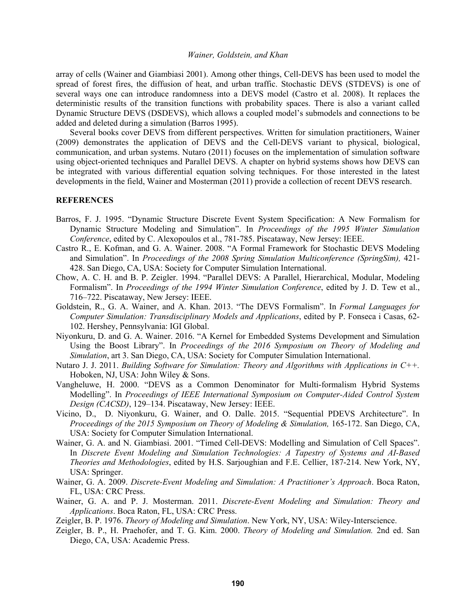array of cells (Wainer and Giambiasi 2001). Among other things, Cell-DEVS has been used to model the spread of forest fires, the diffusion of heat, and urban traffic. Stochastic DEVS (STDEVS) is one of several ways one can introduce randomness into a DEVS model (Castro et al. 2008). It replaces the deterministic results of the transition functions with probability spaces. There is also a variant called Dynamic Structure DEVS (DSDEVS), which allows a coupled model's submodels and connections to be added and deleted during a simulation (Barros 1995).

Several books cover DEVS from different perspectives. Written for simulation practitioners, Wainer (2009) demonstrates the application of DEVS and the Cell-DEVS variant to physical, biological, communication, and urban systems. Nutaro (2011) focuses on the implementation of simulation software using object-oriented techniques and Parallel DEVS. A chapter on hybrid systems shows how DEVS can be integrated with various differential equation solving techniques. For those interested in the latest developments in the field, Wainer and Mosterman (2011) provide a collection of recent DEVS research.

### **REFERENCES**

- Barros, F. J. 1995. "Dynamic Structure Discrete Event System Specification: A New Formalism for Dynamic Structure Modeling and Simulation". In *Proceedings of the 1995 Winter Simulation Conference*, edited by C. Alexopoulos et al., 781-785. Piscataway, New Jersey: IEEE.
- Castro R., E. Kofman, and G. A. Wainer. 2008. "A Formal Framework for Stochastic DEVS Modeling and Simulation". In *Proceedings of the 2008 Spring Simulation Multiconference (SpringSim)*, 421-428. San Diego, CA, USA: Society for Computer Simulation International.
- Chow, A. C. H. and B. P. Zeigler. 1994. "Parallel DEVS: A Parallel, Hierarchical, Modular, Modeling Formalism". In *Proceedings of the 1994 Winter Simulation Conference*, edited by J. D. Tew et al., 716–722. Piscataway, New Jersey: IEEE.
- Goldstein, R., G. A. Wainer, and A. Khan. 2013. "The DEVS Formalism". In *Formal Languages for Computer Simulation: Transdisciplinary Models and Applications*, edited by P. Fonseca i Casas, 62- 102. Hershey, Pennsylvania: IGI Global.
- Niyonkuru, D. and G. A. Wainer. 2016. "A Kernel for Embedded Systems Development and Simulation Using the Boost Library". In *Proceedings of the 2016 Symposium on Theory of Modeling and Simulation*, art 3. San Diego, CA, USA: Society for Computer Simulation International.
- Nutaro J. J. 2011. *Building Software for Simulation: Theory and Algorithms with Applications in C++.* Hoboken, NJ, USA: John Wiley & Sons.
- Vangheluwe, H. 2000. "DEVS as a Common Denominator for Multi-formalism Hybrid Systems Modelling". In *Proceedings of IEEE International Symposium on Computer-Aided Control System Design (CACSD)*, 129–134. Piscataway, New Jersey: IEEE.
- Vicino, D., D. Niyonkuru, G. Wainer, and O. Dalle. 2015. "Sequential PDEVS Architecture". In *Proceedings of the 2015 Symposium on Theory of Modeling & Simulation,* 165-172. San Diego, CA, USA: Society for Computer Simulation International.
- Wainer, G. A. and N. Giambiasi. 2001. "Timed Cell-DEVS: Modelling and Simulation of Cell Spaces". In *Discrete Event Modeling and Simulation Technologies: A Tapestry of Systems and AI-Based Theories and Methodologies*, edited by H.S. Sarjoughian and F.E. Cellier, 187-214. New York, NY, USA: Springer.
- Wainer, G. A. 2009. *Discrete-Event Modeling and Simulation: A Practitioner's Approach*. Boca Raton, FL, USA: CRC Press.
- Wainer, G. A. and P. J. Mosterman. 2011. *Discrete-Event Modeling and Simulation: Theory and Applications*. Boca Raton, FL, USA: CRC Press.
- Zeigler, B. P. 1976. *Theory of Modeling and Simulation*. New York, NY, USA: Wiley-Interscience.
- Zeigler, B. P., H. Praehofer, and T. G. Kim. 2000. *Theory of Modeling and Simulation.* 2nd ed. San Diego, CA, USA: Academic Press.